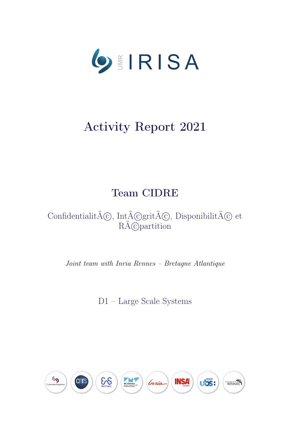

# Activity Report 2021

# Team CIDRE

# Confidentialit $\tilde{A}$ Co, Int $\tilde{A}$ Cogrit $\tilde{A}$ Co, Disponibilit $\tilde{A}$ Co et RA C partition

Joint team with Inria Rennes – Bretagne Atlantique

D1 – Large Scale Systems

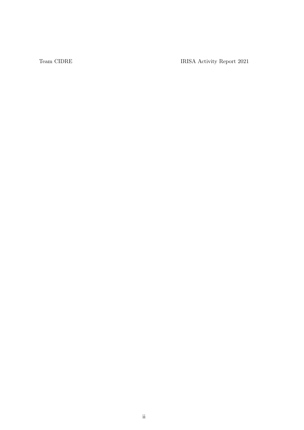Team CIDRE IRISA Activity Report 2021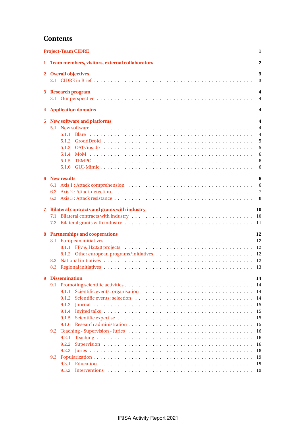# **Contents**

|    | <b>Project-Team CIDRE</b><br>1                                                                             |                                                                                        |  |  |  |  |  |  |  |  |  |  |
|----|------------------------------------------------------------------------------------------------------------|----------------------------------------------------------------------------------------|--|--|--|--|--|--|--|--|--|--|
| 1. | Team members, visitors, external collaborators                                                             |                                                                                        |  |  |  |  |  |  |  |  |  |  |
|    | 2 Overall objectives                                                                                       | 3<br>3                                                                                 |  |  |  |  |  |  |  |  |  |  |
|    | 3 Research program<br>4<br>4                                                                               |                                                                                        |  |  |  |  |  |  |  |  |  |  |
| 4  | <b>Application domains</b><br>4                                                                            |                                                                                        |  |  |  |  |  |  |  |  |  |  |
| 5. | <b>New software and platforms</b>                                                                          | 4<br>4<br>4<br>5<br>5<br>6<br>6<br>6                                                   |  |  |  |  |  |  |  |  |  |  |
| 6  | <b>New results</b>                                                                                         | 6<br>6<br>7<br>8                                                                       |  |  |  |  |  |  |  |  |  |  |
| 7  | 10<br><b>Bilateral contracts and grants with industry</b><br><b>10</b><br>11                               |                                                                                        |  |  |  |  |  |  |  |  |  |  |
| 8  | <b>Partnerships and cooperations</b><br>8.1<br>8.2<br>8.3                                                  | 12<br>12<br>12<br>12<br>12<br>13                                                       |  |  |  |  |  |  |  |  |  |  |
| 9  | <b>Dissemination</b><br>9.1.1<br>9.1.2<br>9.1.3<br>9.1.4<br>9.1.5<br>9.1.6<br>9.2<br>9.2.1<br>9.2.2<br>9.3 | 14<br>14<br>14<br>14<br>15<br>15<br>15<br>15<br>16<br>16<br>16<br>18<br>19<br>19<br>19 |  |  |  |  |  |  |  |  |  |  |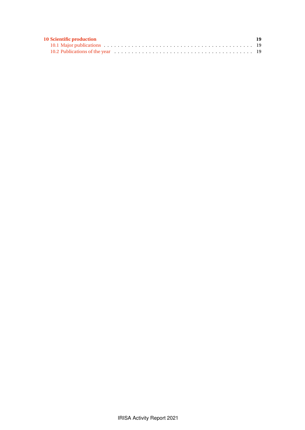| <b>10 Scientific production</b> | 19 |
|---------------------------------|----|
|                                 |    |
|                                 |    |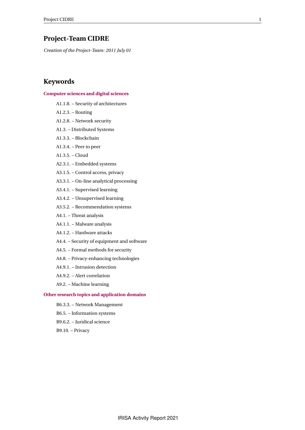# **Project-Team CIDRE**

*Creation of the Project-Team: 2011 July 01*

# **Keywords**

## **Computer sciences and digital sciences**

- A1.1.8. Security of architectures
- A1.2.3. Routing
- A1.2.8. Network security
- A1.3. Distributed Systems
- A1.3.3. Blockchain
- A1.3.4. Peer to peer
- A1.3.5. Cloud
- A2.3.1. Embedded systems
- A3.1.5. Control access, privacy
- A3.3.1. On-line analytical processing
- A3.4.1. Supervised learning
- A3.4.2. Unsupervised learning
- A3.5.2. Recommendation systems
- A4.1. Threat analysis
- A4.1.1. Malware analysis
- A4.1.2. Hardware attacks
- A4.4. Security of equipment and software
- A4.5. Formal methods for security
- A4.8. Privacy-enhancing technologies
- A4.9.1. Intrusion detection
- A4.9.2. Alert correlation
- A9.2. Machine learning

## **Other research topics and application domains**

- B6.3.3. Network Management
- B6.5. Information systems
- B9.6.2. Juridical science
- B9.10. Privacy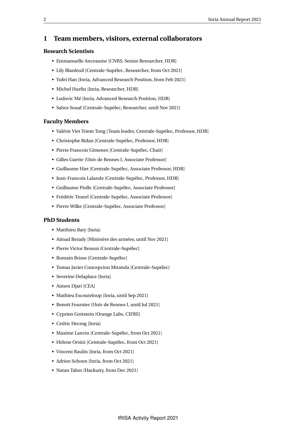# **1 Team members, visitors, external collaborators**

# **Research Scientists**

- Emmanuelle Anceaume [CNRS, Senior Researcher, HDR]
- Lily Blanleuil [Centrale-Supélec, Researcher, from Oct 2021]
- Yufei Han [Inria, Advanced Research Position, from Feb 2021]
- Michel Hurfin [Inria, Researcher, HDR]
- Ludovic Mé [Inria, Advanced Research Position, HDR]
- Salwa Souaf [Centrale-Supélec, Researcher, until Nov 2021]

### **Faculty Members**

- Valérie Viet Triem Tong [Team leader, Centrale-Supélec, Professor, HDR]
- Christophe Bidan [Centrale-Supélec, Professor, HDR]
- Pierre Francois Gimenez [Centrale-Supélec, Chair]
- Gilles Guette [Univ de Rennes I, Associate Professor]
- Guillaume Hiet [Centrale-Supélec, Associate Professor, HDR]
- Jean-Francois Lalande [Centrale-Supélec, Professor, HDR]
- Guillaume Piolle [Centrale-Supélec, Associate Professor]
- Frédéric Tronel [Centrale-Supélec, Associate Professor]
- Pierre Wilke [Centrale-Supélec, Associate Professor]

## **PhD Students**

- Matthieu Baty [Inria]
- Aimad Berady [Ministère des armées, until Nov 2021]
- Pierre Victor Besson [Centrale-Supélec]
- Romain Brisse [Centrale-Supélec]
- Tomas Javier Concepcion Miranda [Centrale-Supélec]
- Severine Delaplace [Inria]
- Aimen Djari [CEA]
- Mathieu Escouteloup [Inria, until Sep 2021]
- Benoit Fournier [Univ de Rennes I, until Jul 2021]
- Cyprien Gottstein [Orange Labs, CIFRE]
- Cedric Herzog [Inria]
- Maxime Lanvin [Centrale-Supélec, from Oct 2021]
- Helene Orsini [Centrale-Supélec, from Oct 2021]
- Vincent Raulin [Inria, from Oct 2021]
- Adrien Schoen [Inria, from Oct 2021]
- Natan Talon [Hackuity, from Dec 2021]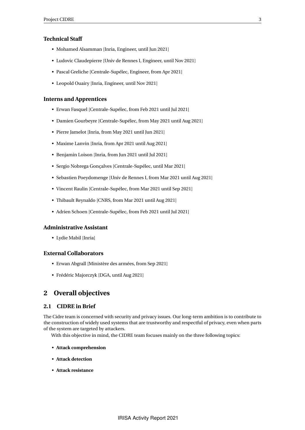# **Technical Staff**

- Mohamed Alsamman [Inria, Engineer, until Jun 2021]
- Ludovic Claudepierre [Univ de Rennes I, Engineer, until Nov 2021]
- Pascal Greliche [Centrale-Supélec, Engineer, from Apr 2021]
- Leopold Ouairy [Inria, Engineer, until Nov 2021]

#### **Interns and Apprentices**

- Erwan Fasquel [Centrale-Supélec, from Feb 2021 until Jul 2021]
- Damien Gourbeyre [Centrale-Supélec, from May 2021 until Aug 2021]
- Pierre Jamelot [Inria, from May 2021 until Jun 2021]
- Maxime Lanvin [Inria, from Apr 2021 until Aug 2021]
- Benjamin Loison [Inria, from Jun 2021 until Jul 2021]
- Sergio Nobrega Gonçalves [Centrale-Supélec, until Mar 2021]
- Sebastien Poeydomenge [Univ de Rennes I, from Mar 2021 until Aug 2021]
- Vincent Raulin [Centrale-Supélec, from Mar 2021 until Sep 2021]
- Thibault Reynaldo [CNRS, from Mar 2021 until Aug 2021]
- Adrien Schoen [Centrale-Supélec, from Feb 2021 until Jul 2021]

#### **Administrative Assistant**

• Lydie Mabil [Inria]

#### **External Collaborators**

- Erwan Abgrall [Ministère des armées, from Sep 2021]
- Frédéric Majorczyk [DGA, until Aug 2021]

# **2 Overall objectives**

# **2.1 CIDRE in Brief**

The Cidre team is concerned with security and privacy issues. Our long-term ambition is to contribute to the construction of widely used systems that are trustworthy and respectful of privacy, even when parts of the system are targeted by attackers.

With this objective in mind, the CIDRE team focuses mainly on the three following topics:

- **Attack comprehension**
- **Attack detection**
- **Attack resistance**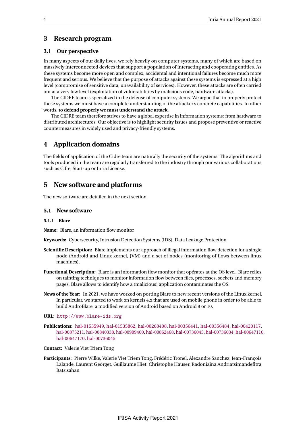# **3 Research program**

## **3.1 Our perspective**

In many aspects of our daily lives, we rely heavily on computer systems, many of which are based on massively interconnected devices that support a population of interacting and cooperating entities. As these systems become more open and complex, accidental and intentional failures become much more frequent and serious. We believe that the purpose of attacks against these systems is expressed at a high level (compromise of sensitive data, unavailability of services). However, these attacks are often carried out at a very low level (exploitation of vulnerabilities by malicious code, hardware attacks).

The CIDRE team is specialized in the defense of computer systems. We argue that to properly protect these systems we must have a complete understanding of the attacker's concrete capabilities. In other words, **to defend properly we must understand the attack**.

The CIDRE team therefore strives to have a global expertise in information systems: from hardware to distributed architectures. Our objective is to highlight security issues and propose preventive or reactive countermeasures in widely used and privacy-friendly systems.

# **4 Application domains**

The fields of application of the Cidre team are naturally the security of the systems. The algorithms and tools produced in the team are regularly transferred to the industry through our various collaborations such as Cifre, Start-up or Inria License.

# **5 New software and platforms**

The new software are detailed in the next section.

## **5.1 New software**

#### **5.1.1 Blare**

**Name:** Blare, an information flow monitor

**Keywords:** Cybersecurity, Intrusion Detection Systems (IDS), Data Leakage Protection

- **Scientific Description:** Blare implements our approach of illegal information flow detection for a single node (Android and Linux kernel, JVM) and a set of nodes (monitoring of flows between linux machines).
- **Functional Description:** Blare is an information flow monitor that opérates at the OS level. Blare relies on tainting techniques to monitor information flow between files, processes, sockets and memory pages. Blare allows to identify how a (malicious) application contaminates the OS.
- **News of the Year:** In 2021, we have worked on porting Blare to new recent versions of the Linux kernel. In particular, we started to work on kernels 4.x that are used on mobile phone in order to be able to build AndroBlare, a modified version of Android based on Android 9 or 10.

#### **URL:** http://www.blare-ids.org

**Publications:** hal-01535949, hal-01535862, hal-00268408, hal-00356441, hal-00356484, hal-00420117, hal-00875211, hal-00840338, hal-00909400, hal-00862468, hal-00736045, hal-00736034, hal-00647116, hal-00647170, hal-00736045

#### **Contact:** Valerie Viet Triem Tong

**Participants:** Pierre Wilke, Valerie Viet Triem Tong, Frédéric Tronel, Alexandre Sanchez, Jean-François Lalande, Laurent Georget, Guillaume Hiet, Christophe Hauser, Radoniaina Andriatsimandefitra Ratsisahan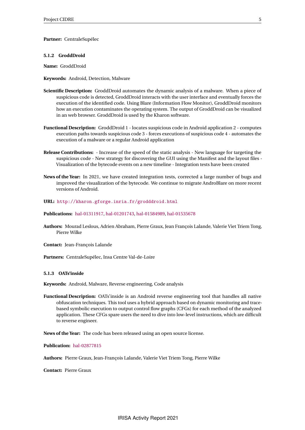**Partner:** CentraleSupélec

#### **5.1.2 GroddDroid**

**Name:** GroddDroid

**Keywords:** Android, Detection, Malware

- **Scientific Description:** GroddDroid automates the dynamic analysis of a malware. When a piece of suspicious code is detected, GroddDroid interacts with the user interface and eventually forces the execution of the identified code. Using Blare (Information Flow Monitor), GroddDroid monitors how an execution contaminates the operating system. The output of GroddDroid can be visualized in an web browser. GroddDroid is used by the Kharon software.
- **Functional Description:** GroddDroid 1 locates suspicious code in Android application 2 computes execution paths towards suspicious code 3 - forces executions of suspicious code 4 - automates the execution of a malware or a regular Android application
- **Release Contributions:** Increase of the speed of the static analysis New language for targeting the suspicious code - New strategy for discovering the GUI using the Manifest and the layout files - Visualization of the bytecode events on a new timeline - Integration tests have been created
- **News of the Year:** In 2021, we have created integration tests, corrected a large number of bugs and improved the visualization of the bytecode. We continue to migrate AndroBlare on more recent versions of Android.
- **URL:** http://kharon.gforge.inria.fr/grodddroid.html

**Publications:** hal-01311917, hal-01201743, hal-01584989, hal-01535678

- **Authors:** Mourad Leslous, Adrien Abraham, Pierre Graux, Jean François Lalande, Valerie Viet Triem Tong, Pierre Wilke
- **Contact:** Jean-François Lalande
- **Partners:** CentraleSupélec, Insa Centre Val-de-Loire

#### **5.1.3 OATs'inside**

**Keywords:** Android, Malware, Reverse engineering, Code analysis

**Functional Description:** OATs'inside is an Android reverse engineering tool that handles all native obfuscation techniques. This tool uses a hybrid approach based on dynamic monitoring and tracebased symbolic execution to output control flow graphs (CFGs) for each method of the analyzed application. These CFGs spare users the need to dive into low-level instructions, which are difficult to reverse engineer.

**News of the Year:** The code has been released using an open source license.

**Publication:** hal-02877815

**Authors:** Pierre Graux, Jean-François Lalande, Valerie Viet Triem Tong, Pierre Wilke

**Contact:** Pierre Graux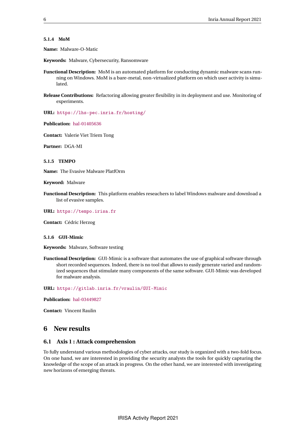#### **5.1.4 MoM**

**Name:** Malware-O-Matic

**Keywords:** Malware, Cybersecurity, Ransomware

- **Functional Description:** MoM is an automated platform for conducting dynamic malware scans running on Windows. MoM is a bare-metal, non-virtualized platform on which user activity is simulated.
- **Release Contributions:** Refactoring allowing greater flexibility in its deployment and use. Monitoring of experiments.

**URL:** https://lhs-pec.inria.fr/hosting/

**Publication:** hal-01405636

**Contact:** Valerie Viet Triem Tong

**Partner:** DGA-MI

**5.1.5 TEMPO**

**Name:** The Evasive Malware PlatfOrm

**Keyword:** Malware

**Functional Description:** This platform enables reseachers to label Windows malware and download a list of evasive samples.

**URL:** https://tempo.irisa.fr

**Contact:** Cédric Herzog

**5.1.6 GUI-Mimic**

**Keywords:** Malware, Software testing

**Functional Description:** GUI-Mimic is a software that automates the use of graphical software through short recorded sequences. Indeed, there is no tool that allows to easily generate varied and randomized sequences that stimulate many components of the same software. GUI-Mimic was developed for malware analysis.

**URL:** https://gitlab.inria.fr/vraulin/GUI-Mimic

**Publication:** hal-03449827

**Contact:** Vincent Raulin

# **6 New results**

#### **6.1 Axis 1 : Attack comprehension**

To fully understand various methodologies of cyber attacks, our study is organized with a two-fold focus. On one hand, we are interested in providing the security analysts the tools for quickly capturing the knowledge of the scope of an attack in progress. On the other hand, we are interested with investigating new horizons of emerging threats.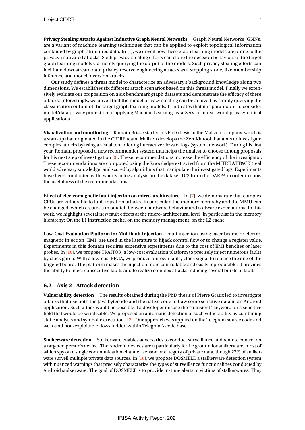**Privacy Stealing Attacks Against Inductive Graph Neural Networks.** Graph Neural Networks (GNNs) are a variant of machine learning techniques that can be applied to exploit topological information contained by graph-structured data. In [1], we unveil how these graph learning models are prone to the privacy-motivated attacks. Such privacy-stealing efforts can clone the decision behaviors of the target graph learning models via merely querying the output of the models. Such privacy stealing efforts can facilitate downstream data privacy reserve engineering attacks as a stepping stone, like membership inference and model inversion attacks.

Our study defines a threat model to characterize an adversary's background knowledge along two dimensions. We establishes six different attack scenarios based on this threat model. Finally we extensively evaluate our proposition on a six benchmark graph datasets and demonstrate the efficacy of these attacks. Interestingly, we unveil that the model privacy stealing can be achived by simply querying the classification output of the target graph learning models. It indicates that it is paramount to consider model/data privacy protection in applying Machine Learning-as-a-Service in real-world privacy-critical applications.

**Visualization and monitoring** Romain Brisse started his PhD thesis in the Malizen company, which is a start-up that originated in the CIDRE team. Malizen develops the ZeroKit tool that aims to investigate complex attacks by using a visual tool offering interactive views of logs (system, network). During his first year, Romain proposed a new recommender system that helps the analyst to choose among proposals for his next step of investigation [9]. These recommendations increase the efficiency of the investigator. These recommendations are computed using the knowledge extracted from the MITRE ATT&CK (real world adversary knowledge) and scored by algorithms that manipulate the investigated logs. Experiments have been conducted with experts in log analysis on the dataset TC3 from the DARPA in order to show the usefulness of the recommendations.

**Effect of electromagnetic fault injection on micro-architecture** In [7], we demonstrate that complex CPUs are vulnerable to fault injection attacks. In particular, the memory hierarchy and the MMU can be changed, which creates a mismatch between hardware behavior and software expectations. In this work, we highlight several new fault effects at the micro-architectural level, in particular in the memory hierarchy: On the L1 instruction cache, on the memory management, on the L2 cache.

**Low-Cost Evaluation Platform for Multifault Injection** Fault injection using laser beams or electromagnetic injection (EMI) are used in the literature to hijack control flow or to change a register value. Experiments in this domain requires expensive experiments due to the cost of EMI benches or laser probes. In [10], we propose TRAITOR, a low-cost evaluation platform to precisely inject numerous faults by clock glitch. With a low-cost FPGA, we produce our own faulty clock signal to replace the one of the targeted board. The platform makes the injection more controllable and easily reproducible. It provides the ability to inject consecutive faults and to realize complex attacks inducing several bursts of faults.

## **6.2 Axis 2 : Attack detection**

**Vulnerability detection** The results obtained during the PhD thesis of Pierre Graux led to investigate attacks that use both the Java bytecode and the native code to flaw some sensitive data in an Android application. Such attack would be possible if a developer misuse the "transient" keyword on a sensitive field that would be serializable. We proposed an automatic detection of such vulnerability by combining static analysis and symbolic execution [12]. Our approach was applied on the Telegram source code and we found non-exploitable flows hidden within Telegram's code base.

**Stalkerware detection** Stalkerware enables adversaries to conduct surveillance and remote control on a targeted person's device. The Android devices are a particularly fertile ground for stalkerware, most of which spy on a single communication channel, sensor, or category of private data, though 27% of stalkerware surveil multiple private data sources. In [18], we propose DOSMELT, a stalkerware detection system with nuanced warnings that precisely characterize the types of surveillance functionalities conducted by Android stalkerware. The goal of DOSMELT is to provide in-time alerts to victims of stalkerwares. They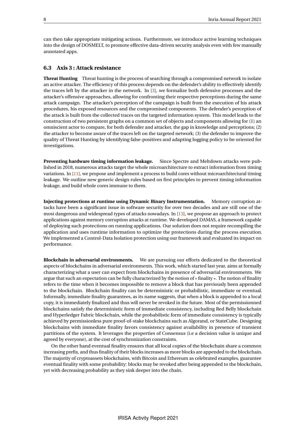can then take appropriate mitigating actions. Furthermore, we introduce active learning techniques into the design of DOSMELT, to promote effective data-driven security analysis even with few manually annotated apps.

### **6.3 Axis 3 : Attack resistance**

**Threat Hunting** Threat hunting is the process of searching through a compromised network to isolate an active attacker. The efficiency of this process depends on the defender's ability to effectively identify the traces left by the attacker in the network. In [3], we formalize both defensive processes and the attacker's offensive approaches, allowing for confronting their respective perceptions during the same attack campaign. The attacker's perception of the campaign is built from the execution of his attack procedures, his exposed resources and the compromised components. The defender's perception of the attack is built from the collected traces on the targeted information system. This model leads to the construction of two persistent graphs on a common set of objects and components allowing for (1) an omniscient actor to compare, for both defender and attacker, the gap in knowledge and perceptions; (2) the attacker to become aware of the traces left on the targeted network; (3) the defender to improve the quality of Threat Hunting by identifying false-positives and adapting logging policy to be oriented for investigations.

**Preventing hardware timing information leakage.** Since Spectre and Meltdown attacks were published in 2018, numerous attacks target the whole microarchitecture to extract information from timing variations. In [11], we propose and implement a process to build cores without microarchitectural timing leakage. We outline new generic design rules based on first principles to prevent timing information leakage, and build whole cores immune to them.

**Injecting protections at runtime using Dynamic Binary Instrumentation.** Memory corruption attacks have been a significant issue in software security for over two decades and are still one of the most dangerous and widespread types of attacks nowadays. In [13], we propose an approach to protect applications against memory corruption attacks at runtime. We developed DAMAS, a framework capable of deploying such protections on running applications. Our solution does not require recompiling the application and uses runtime information to optimize the protections during the process execution. We implemented a Control-Data Isolation protection using our framework and evaluated its impact on performance.

**Blockchain in adversarial environments.** We are pursuing our efforts dedicated to the theoretical aspects of blockchains in adversarial environments. This work, which started last year, aims at formally characterizing what a user can expect from blockchains in presence of adversarial environments. We argue that such an expectation can be fully characterized by the notion of « finality ». The notion of finality refers to the time when it becomes impossible to remove a block that has previously been appended to the blockchain. Blockchain finality can be deterministic or probabilistic, immediate or eventual. Informally, immediate finality guarantees, as its name suggests, that when a block is appended to a local copy, it is immediately finalized and thus will never be revoked in the future. Most of the permissionned blockchains satisfy the deterministic form of immediate consistency, including Red Belly blockchain and Hyperledger Fabric blockchain, while the probabilistic form of immediate consistency is typically achieved by permissionless pure proof-of-stake blockchains such as Algorand, or StateCube. Designing blockchains with immediate finality favors consistency against availability in presence of transient partitions of the system. It leverages the properties of Consensus (i.e a decision value is unique and agreed by everyone), at the cost of synchronization constraints.

On the other hand eventual finality ensures that all local copies of the blockchain share a common increasing prefix, and thus finality of their blocks increases as more blocks are appended to the blockchain. The majority of cryptoassets blockchains, with Bitcoin and Ethereum as celebrated examples, guarantee eventual finality with some probability: blocks may be revoked after being appended to the blockchain, yet with decreasing probability as they sink deeper into the chain.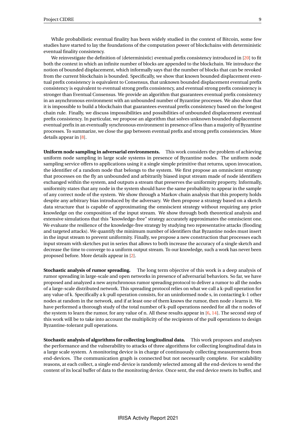While probabilistic eventual finality has been widely studied in the context of Bitcoin, some few studies have started to lay the foundations of the computation power of blockchains with deterministic eventual finality consistency.

We reinvestigate the definition of (deterministic) eventual prefix consistency introduced in [20] to fit both the context in which an infinite number of blocks are appended to the blockchain. We introduce the notion of bounded displacement, which informally says that the number of blocks that can be revoked from the current blockchain is bounded. Specifically, we show that known bounded displacement eventual prefix consistency is equivalent to Consensus, that unknown bounded displacement eventual prefix consistency is equivalent to eventual strong prefix consistency, and eventual strong prefix consistency is stronger than Eventual Consensus. We provide an algorithm that guarantees eventual prefix consistency in an asynchronous environment with an unbounded number of Byzantine processes. We also show that it is impossible to build a blockchain that guarantees eventual prefix consistency based on the longest chain rule. Finally, we discuss impossibilities and possibilities of unbounded displacement eventual prefix consistency. In particular, we propose an algorithm that solves unknown bounded displacement eventual prefix in an eventually synchronous environment in presence of less than a majority of Byzantine processes. To summarize, we close the gap between eventual prefix and strong prefix consistencies. More details appear in [8].

**Uniform node sampling in adversarial environments.** This work considers the problem of achieving uniform node sampling in large scale systems in presence of Byzantine nodes. The uniform node sampling service offers to applications using it a single simple primitive that returns, upon invocation, the identifier of a random node that belongs to the system. We first propose an omniscient strategy that processes on the fly an unbounded and arbitrarily biased input stream made of node identifiers exchanged within the system, and outputs a stream that preserves the uniformity property. Informally, uniformity states that any node in the system should have the same probability to appear in the sample of any correct node of the system. We show through a Markov chain analysis that this property holds despite any arbitrary bias introduced by the adversary. We then propose a strategy based on a sketch data structure that is capable of approximating the omniscient strategy without requiring any prior knowledge on the composition of the input stream. We show through both theoretical analysis and extensive simulations that this "knowledge-free" strategy accurately approximates the omniscient one. We evaluate the resilience of the knowledge-free strategy by studying two representative attacks (flooding and targeted attacks). We quantify the minimum number of identifiers that Byzantine nodes must insert in the input stream to prevent uniformity. Finally, we propose a new construction that processes each input stream with sketches put in series that allows to both increase the accuracy of a single sketch and decrease the time to converge to a uniform output stream. To our knowledge, such a work has never been proposed before. More details appear in [2].

**Stochastic analysis of rumor spreading.** The long term objective of this work is a deep analysis of rumor spreading in large-scale and open networks in presence of adversarial behaviors. So far, we have proposed and analyzed a new asynchronous rumor spreading protocol to deliver a rumor to all the nodes of a large-scale distributed network. This spreading protocol relies on what we call a k-pull operation for any value of k. Specifically a k-pull operation consists, for an uninformed node s, in contacting k-1 other nodes at random in the network, and if at least one of them knows the rumor, then node *s* learns it. We have performed a thorough study of the total number of k-pull operations needed for all the n nodes of the system to learn the rumor, for any value of n. All these results appear in  $[6, 14]$ . The second step of this work will be to take into account the multiplicity of the recipients of the pull operations to design Byzantine-tolerant pull operations.

**Stochastic analysis of algorithms for collecting longitudinal data.** This work proposes and analyses the performance and the vulnerability to attacks of three algorithms for collecting longitudinal data in a large scale system. A monitoring device is in charge of continuously collecting measurements from end-devices. The communication graph is connected but not necessarily complete. For scalability reasons, at each collect, a single end-device is randomly selected among all the end-devices to send the content of its local buffer of data to the monitoring device. Once sent, the end device resets its buffer, and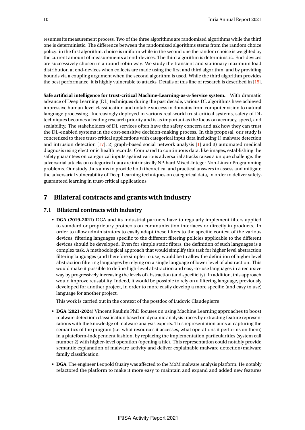resumes its measurement process. Two of the three algorithms are randomized algorithms while the third one is deterministic. The difference between the randomized algorithms stems from the random choice policy: in the first algorithm, choice is uniform while in the second one the random choice is weighted by the current amount of measurements at end-devices. The third algorithm is deterministic. End-devices are successively chosen in a round robin way. We study the transient and stationary maximum load distribution at end-devices when collects are made using the first and third algorithm, and by providing bounds via a coupling argument when the second algorithm is used. While the third algorithm provides the best performance, it is highly vulnerable to attacks. Details of this line of research is described in [15].

**Safe artificial intelligence for trust-critical Machine-Learning-as-a-Service system.** With dramatic advance of Deep Learning (DL) techniques during the past decade, various DL algorithms have achieved impressive human-level classification and notable success in domains from computer vision to natural language processing. Increasingly deployed in various real-world trust-critical systems, safety of DL techniques becomes a leading research priority and is as important as the focus on accuracy, speed, and scalability. The stakeholders of DL services often have the safety concern and ask how they can trust the DL-enabled systems in the cost-sensitive decision-making process. In this proposal, our study is concretized to three trust-critical applications with categorical input data including 1) malware detection and intrusion detection [17], 2) graph-based social network analysis [1] and 3) automated medical diagnosis using electronic health records. Compared to continuous data, like images, establishing the safety guarantees on categorical inputs against various adversarial attacks raises a unique challenge: the adversarial attacks on categorical data are intrinsically NP-hard Mixed-Integer Non-Linear Programming problems. Our study thus aims to provide both theoretical and practical answers to assess and mitigate the adversarial vulnerability of Deep Learning techniques on categorical data, in order to deliver safetyguaranteed learning in trust-critical applications.

# **7 Bilateral contracts and grants with industry**

## **7.1 Bilateral contracts with industry**

• **DGA (2019-2021)** DGA and its industrial partners have to regularly implement filters applied to standard or proprietary protocols on communication interfaces or directly in products. In order to allow administrators to easily adapt these filters to the specific context of the various devices, filtering languages specific to the different filtering policies applicable to the different devices should be developed. Even for simple static filters, the definition of such languages is a complex task. A methodological approach that would simplify this task for higher level abstraction filtering languages (and therefore simpler to use) would be to allow the definition of higher level abstraction filtering languages by relying on a single language of lower level of abstraction. This would make it possible to define high-level abstraction and easy-to-use languages in a recursive way by progressively increasing the levels of abstraction (and specificity). In addition, this approach would improve reusability. Indeed, it would be possible to rely on a filtering language, previously developed for another project, in order to more easily develop a more specific (and easy to use) language for another project.

This work is carried out in the context of the postdoc of Ludovic Claudepierre

- **DGA (2021-2024)** Vincent Raulin's PhD focuses on using Machine Learning approaches to boost malware detection/classification based on dynamic analysis traces by extracting feature representations with the knowledge of malware analysis experts. This representation aims at capturing the semantics of the program (i.e. what resources it accesses, what operations it performs on them) in a plateform-independent fashion, by replacing the implementation particularities (system call number 2) with higher-level operation (opening a file). This representation could notably provide semantic explanation of malware activity and deliver explainable malware detection/malware family classification.
- **DGA**. The engineer Leopold Ouairy was affected to the MoM malware analysis platform. He notably refactored the platform to make it more easy to maintain and expand and added new features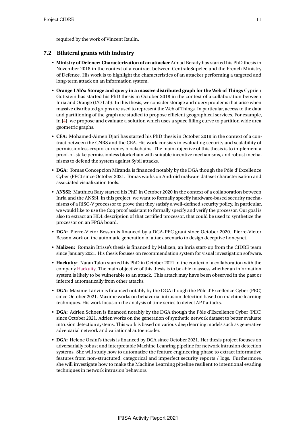required by the work of Vincent Raulin.

# **7.2 Bilateral grants with industry**

- **Ministry of Defence: Characterization of an attacker** Aïmad Berady has started his PhD thesis in November 2018 in the context of a contract between CentraleSupelec and the French Ministry of Defence. His work is to highlight the characteristics of an attacker performing a targeted and long-term attack on an information system.
- **Orange LAb's: Storage and query in a massive distributed graph for the Web of Things** Cyprien Gottstein has started his PhD thesis in October 2018 in the context of a collaboration between Inria and Orange (I/O Lab). In this thesis, we consider storage and query problems that arise when massive distributed graphs are used to represent the Web of Things. In particular, access to the data and partitioning of the graph are studied to propose efficient geographical services. For example, in  $[4]$ , we propose and evaluate a solution which uses a space filling curve to partition wide area geometric graphs.
- **CEA:** Mohamed-Aimen Djari has started his PhD thesis in October 2019 in the context of a contract between the CNRS and the CEA. His work consists in evaluating security and scalability of permissionless crypto-currency blockchains. The main objective of this thesis is to implement a proof-of-stake permissionless blockchain with suitable incentive mechanisms, and robust mechanisms to defend the system against Sybil attacks.
- **DGA:** Tomas Concepcion Miranda is financed notably by the DGA though the Pôle d'Excellence Cyber (PEC) since October 2021. Tomas works on Android malware dataset characterisation and associated visualization tools.
- **ANSSI:** Matthieu Baty started his PhD in October 2020 in the context of a collaboration between Inria and the ANSSI. In this project, we want to formally specify hardware-based security mechanisms of a RISC-V processor to prove that they satisfy a well-defined security policy. In particular, we would like to use the Coq proof assistant to formally specify and verify the processor. Our goal is also to extract an HDL description of that certified processor, that could be used to synthetize the processor on an FPGA board.
- **DGA:** Pierre-Victor Besson is financed by a DGA-PEC grant since October 2020. Pierre-Victor Besson work on the automatic generation of attack scenario to design deceptive honeynet.
- **Malizen:** Romain Brisse's thesis is financed by Malizen, an Inria start-up from the CIDRE team since January 2021. His thesis focuses on recommendation system for visual investigation software.
- **Hackuity:** Natan Talon started his PhD in October 2021 in the context of a collaboration with the company Hackuity. The main objective of this thesis is to be able to assess whether an information system is likely to be vulnerable to an attack. This attack may have been observed in the past or inferred automatically from other attacks.
- **DGA:** Maxime Lanvin is financed notably by the DGA though the Pôle d'Excellence Cyber (PEC) since October 2021. Maxime works on behavorial intrusion detection based on machine learning techniques. His work focus on the analysis of time series to detect APT attacks.
- **DGA:** Adrien Schoen is financed notably by the DGA though the Pôle d'Excellence Cyber (PEC) since October 2021. Adrien works on the generation of synthetic network dataset to better evaluate intrusion detection systems. This work is based on various deep learning models such as generative adversarial network and variational autoencoder.
- **DGA:** Helene Orsini's thesis is financed by DGA since October 2021. Her thesis project focuses on adversarially robust and interpretable Machine Leanring pipeline for network intrusion detection systems. She will study how to automatize the feature engineering phase to extract informative features from non-structured, categorical and imperfect security reports / logs. Furthermore, she will investigate how to make the Machine Learning pipeline resilient to intentional evading techniques in network intrusion behaviors.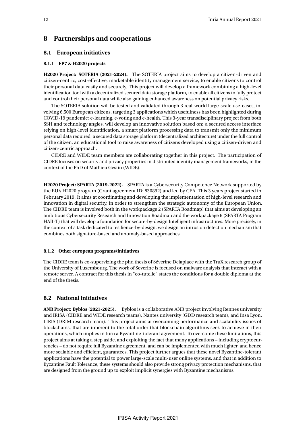# **8 Partnerships and cooperations**

#### **8.1 European initiatives**

## **8.1.1 FP7 & H2020 projects**

**H2020 Project: SOTERIA (2021-2024).** The SOTERIA project aims to develop a citizen-driven and citizen-centric, cost-effective, marketable identity management service, to enable citizens to control their personal data easily and securely. This project will develop a framework combining a high-level identification tool with a decentralized secured data storage platform, to enable all citizens to fully protect and control their personal data while also gaining enhanced awareness on potential privacy risks.

The SOTERIA solution will be tested and validated through 3 real-world large-scale use-cases, involving 6,500 European citizens, targeting 3 applications which usefulness has been highlighted during COVID-19 pandemic: e-learning, e-voting and e-health. This 3-year transdisciplinary project from both SSH and technology angles, will develop an innovative solution based on: a secured access interface relying on high-level identification, a smart platform processing data to transmit only the minimum personal data required, a secured data storage platform (decentralized architecture) under the full control of the citizen, an educational tool to raise awareness of citizens developed using a citizen-driven and citizen-centric approach.

CIDRE and WIDE team members are collaborating together in this project. The participation of CIDRE focuses on security and privacy properties in distributed identity management frameworks, in the context of the PhD of Mathieu Gestin (WIDE).

**H2020 Project: SPARTA (2019-2022).** SPARTA is a Cybersecurity Competence Network supported by the EU's H2020 program (Grant agreement ID: 830892) and led by CEA. This 3 years project started in February 2019. It aims at coordinating and developing the implementation of high-level research and innovation in digital security, in order to strengthen the strategic autonomy of the European Union. The CIDRE team is involved both in the workpackage 2 (SPARTA Roadmap) that aims at developing an ambitious Cybersecurity Research and Innovation Roadmap and the workpackage 6 (SPARTA Program HAII-T) that will develop a foundation for secure-by-design Intelligent infrastructures. More precisely, in the context of a task dedicated to resilience-by-design, we design an intrusion detection mechanism that combines both signature-based and anomaly-based approaches.

#### **8.1.2 Other european programs/initiatives**

The CIDRE team is co-supervizing the phd thesis of Séverine Delaplace with the TruX research group of the University of Luxembourg. The work of Severine is focused on malware analysis that interact with a remote server. A contract for this thesis in "co-tutelle" states the conditions for a double diploma at the end of the thesis.

## **8.2 National initiatives**

**ANR Project: Byblos (2021-2025).** Byblos is a collaborative ANR project involving Rennes university and IRISA (CIDRE and WIDE research teams), Nantes university (GDD research team), and Insa Lyon, LIRIS (DRIM research team). This project aims at overcoming performance and scalability issues of blockchains, that are inherent to the total order that blockchain algorithms seek to achieve in their operations, which implies in turn a Byzantine-tolerant agreement. To overcome these limitations, this project aims at taking a step aside, and exploiting the fact that many applications – including cryptocurrencies – do not require full Byzantine agreement, and can be implemented with much lighter, and hence more scalable and efficient, guarantees. This project further argues that these novel Byzantine-tolerant applications have the potential to power large-scale multi-user online systems, and that in addition to Byzantine Fault Tolerance, these systems should also provide strong privacy protection mechanisms, that are designed from the ground up to exploit implicit synergies with Byzantine mechanisms.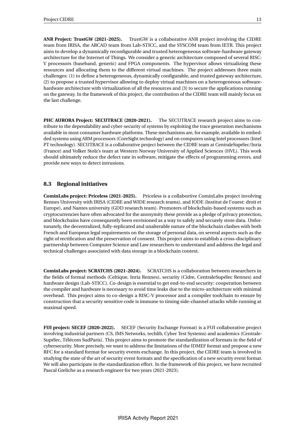**ANR Project: TrustGW (2021-2025).** TrustGW is a collaborative ANR project involving the CIDRE team from IRISA, the ARCAD team from Lab-STICC, and the SYSCOM team from IETR. This project aims to develop a dynamically reconfigurable and trusted heterogeneous software-hardware gateway architecture for the Internet of Things. We consider a generic architecture composed of several RISC-V processors (baseband, generic) and FPGA components. The hypervisor allows virtualizing these resources and allocating them to the different virtual machines. The project addresses three main challenges: (1) to define a heterogeneous, dynamically configurable, and trusted gateway architecture, (2) to propose a trusted hypervisor allowing to deploy virtual machines on a heterogeneous softwarehardware architecture with virtualization of all the resources and (3) to secure the applications running on the gateway. In the framework of this project, the contribution of the CIDRE team will mainly focus on the last challenge.

**PHC AURORA Project: SECUTRACE (2020-2021).** The SECUTRACE research project aims to contribute to the dependability and cyber-security of systems by exploiting the trace generation mechanisms available in most consumer hardware platforms. These mechanisms are, for example, available in embedded systems using ARM processors (CoreSight technology) and on computers using Intel processors (Intel PT technology). SECUTRACE is a collaborative project between the CIDRE team at CentraleSupélec/Inria (France) and Volker Stolz's team at Western Norway University of Applied Sciences (HVL). This work should ultimately reduce the defect rate in software, mitigate the effects of programming errors, and provide new ways to detect intrusions.

# **8.3 Regional initiatives**

**CominLabs project: Priceless (2021-2025).** Priceless is a collabortive CominLabs project involving Rennes University with IRISA (CIDRE and WIDE research teams), and IODE (Institut de l'ouest: droit et Europe), and Nantes university (GDD research team). Promoters of blockchain-based systems such as cryptocurrencies have often advocated for the anonymity these provide as a pledge of privacy protection, and blockchains have consequently been envisioned as a way to safely and securely store data. Unfortunately, the decentralized, fully-replicated and unalterable nature of the blockchain clashes with both French and European legal requirements on the storage of personal data, on several aspects such as the right of rectification and the preservation of consent. This project aims to establish a cross-disciplinary partnership between Computer Science and Law researchers to understand and address the legal and technical challenges associated with data storage in a blockchain context.

**CominLabs project: SCRATCHS (2021-2024).** SCRATCHS is a collaboration between researchers in the fields of formal methods (Celtique, Inria Rennes), security (Cidre, CentraleSupélec Rennes) and hardware design (Lab-STICC). Co-design is essential to get end-to-end security: cooperation between the compiler and hardware is necessary to avoid time leaks due to the micro-architecture with minimal overhead. This project aims to co-design a RISC-V processor and a compiler toolchain to ensure by construction that a security sensitive code is immune to timing side-channel attacks while running at maximal speed.

**FUI project: SECEF (2020-2022).** SECEF (Security Exchange Format) is a FUI collaborative project involving industrial partners (CS, IMS Networks, techlib, Cyber Test Systems) and academics (Centrale-Supélec, Télécom SudParis). This project aims to promote the standardization of formats in the field of cybersecurity. More precisely, we want to address the limitations of the IDMEF format and propose a new RFC for a standard format for security events exchange. In this project, the CIDRE team is involved in studying the state of the art of security event formats and the specification of a new security event format. We will also participate in the standardization effort. In the framework of this project, we have recruited Pascal Greliche as a research engineer for two years (2021-2023).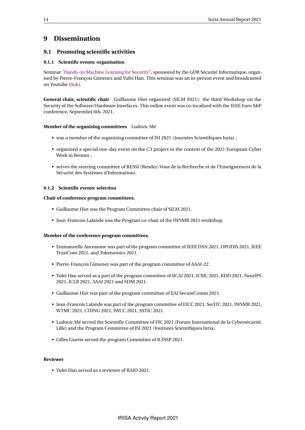# **9 Dissemination**

## **9.1 Promoting scientific activities**

#### **9.1.1 Scientific events: organisation**

Seminar "Hands-on Machine Learning for Security", sponsored by the GDR Sécurité Informatique, organised by Pierre-François Gimenez and Yufei Han. This seminar was an in-person event and broadcasted on Youtube (link).

**General chair, scientific chair** Guillaume Hiet organized (SILM 2021): the third Workshop on the Security of the Software/Hardware Interfaces. This online event was co-localized with the IEEE Euro S&P conference, September 6th, 2021.

#### **Member of the organizing committees** Ludovic Mé

- was a member of the organizing committee of JSI 2021 (Journées Scientifiques Inria) ;
- organized a special one-day event on the C3 project in the context of the 2021 European Cyber Week in Rennes ;
- serves the steering committee of RESSI (Rendez-Vous de la Recherche et de l'Enseignement de la Sécurité des Systèmes d'Information).

#### **9.1.2 Scientific events: selection**

#### **Chair of conference program committees.**

- Guillaume Hiet was the Program Committee chair of SILM 2021.
- Jean-Francois Lalande was the Program co-chair of the IWSMR 2021 workshop.

#### **Member of the conference program committees.**

- Emmanuelle Anceaume was part of the program committee of IEEE DSN 2021, OPODIS 2021, IEEE TrustCom 2021, and Tokenomics 2021.
- Pierre-François Gimenez was part of the program committee of AAAI-22.
- Yufei Han served as a part of the program committee of IJCAI 2021, ICML 2021, KDD 2021, NeurIPS 2021, ICLR 2021, AAAI 2021 and SDM 2021.
- Guillaume Hiet was part of the program committee of EAI SecureComm 2021.
- Jean-Francois Lalande was part of the program committee of EICC 2021, SecITC 2021, IWSMR 2021, WTMC 2021, CUING 2021, IWCC 2021, SSTIC 2021.
- Ludovic Mé served the Scientific Committee of FIC 2021 (Forum International de la Cybersécurité, Lille) and the Program Committee of JSI 2021 (Journées Scientifiques Inria).
- Gilles Guette served the program Committee of ICISSP 2021.

#### **Reviewer**

• Yufei Han served as a reviewer of RAID 2021.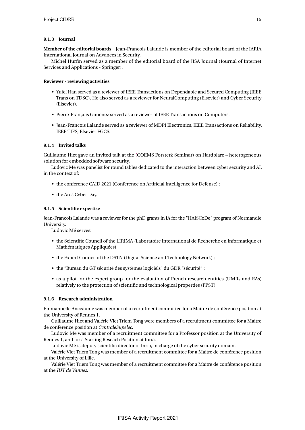#### **9.1.3 Journal**

**Member of the editorial boards** Jean-Francois Lalande is member of the editorial board of the IARIA International Journal on Advances in Security.

Michel Hurfin served as a member of the editorial board of the JISA Journal (Journal of Internet Services and Applications - Springer).

#### **Reviewer - reviewing activities**

- Yufei Han served as a reviewer of IEEE Transactions on Dependable and Secured Computing (IEEE Trans on TDSC). He also served as a reviewer for NeuralComputing (Elsevier) and Cyber Security (Elsevier).
- Pierre-François Gimenez served as a reviewer of IEEE Transactions on Computers.
- Jean-Francois Lalande served as a reviewer of MDPI Electronics, IEEE Transactions on Reliability, IEEE TIFS, Elsevier FGCS.

#### **9.1.4 Invited talks**

Guillaume Hiet gave an invited talk at the (COEMS Forsterk Seminar) on Hardblare – heterogeneous solution for embedded software security.

Ludovic Mé was panelist for round tables dedicated to the interaction between cyber security and AI, in the context of:

- the conference CAID 2021 (Conference on Artificial Intelligence for Defense) ;
- the Atos Cyber Day.

#### **9.1.5 Scientific expertise**

Jean-Francois Lalande was a reviewer for the phD grants in IA for the "HAISCoDe" program of Normandie University.

Ludovic Mé serves:

- the Scientific Council of the LIRIMA (Laboratoire International de Recherche en Informatique et Mathématiques Appliquées) ;
- the Expert Council of the DSTN (Digital Science and Technology Network) ;
- the "Bureau du GT sécurité des systèmes logiciels" du GDR "sécurité" ;
- as a pilot for the expert group for the evaluation of French research entities (UMRs and EAs) relatively to the protection of scientific and technological properties (PPST)

#### **9.1.6 Research administration**

Emmanuelle Anceaume was member of a recruitment committee for a Maitre de conférence position at the University of Rennes 1.

Guillaume Hiet and Valérie Viet Triem Tong were members of a recruitment committee for a Maitre de conférence position at *CentraleSupelec*.

Ludovic Mé was member of a recruitment committee for a Professor position at the University of Rennes 1, and for a Starting Reseach Position at Inria.

Ludovic Mé is deputy scientific director of Inria, in charge of the cyber security domain.

Valérie Viet Triem Tong was member of a recruitment committee for a Maitre de conférence position at the University of Lille.

Valérie Viet Triem Tong was member of a recruitment committee for a Maitre de conférence position at the *IUT de Vannes*.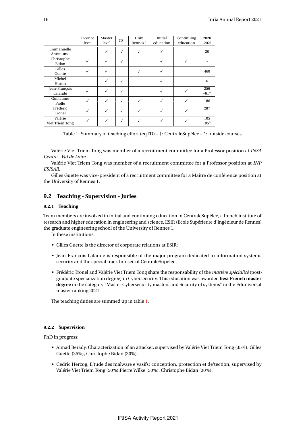|                            | Licence<br>level | Master<br>level | $CS^{\dagger}$ | Univ.<br>Rennes 1 | Initial<br>education | Continuing<br>education | 2020<br>$-2021$ |
|----------------------------|------------------|-----------------|----------------|-------------------|----------------------|-------------------------|-----------------|
| Emmanuelle<br>Anceaume     |                  |                 | √              |                   |                      |                         | 20              |
| Christophe<br>Bidan        |                  |                 | √              |                   |                      |                         |                 |
| Gilles<br>Guette           |                  |                 |                |                   |                      |                         | 460             |
| Michel<br>Hurfin           |                  |                 | ✓              |                   |                      |                         | 6               |
| Jean-François<br>Lalande   |                  |                 | √              |                   |                      |                         | 256<br>$+61*$   |
| Guillaume<br>Piolle        |                  |                 | $\checkmark$   |                   |                      |                         | 186             |
| Frédéric<br>Tronel         |                  |                 | √              |                   |                      |                         | 287             |
| Valérie<br>Viet Triem Tong |                  |                 | ✓              |                   |                      |                         | 105<br>$105*$   |

Table 1: Summary of teaching effort (eqTD) – †: CentraleSupélec – <sup>∗</sup> : outside courses

Valérie Viet Triem Tong was member of a recruitment committee for a Professor position at *INSA Centre - Val de Loire*.

Valérie Viet Triem Tong was member of a recruitment committee for a Professor position at *INP ESISAR*.

Gilles Guette was vice-president of a recruitment committee for a Maitre de conférence position at the University of Rennes 1.

# **9.2 Teaching - Supervision - Juries**

#### **9.2.1 Teaching**

Team members are involved in initial and continuing education in CentraleSupélec, a french institute of research and higher education in engineering and science, ESIR (Ecole Supérieure d'Ingénieur de Rennes) the graduate engineering school of the University of Rennes 1.

In these institutions,

- Gilles Guette is the director of corporate relations at ESIR;
- Jean-François Lalande is responsible of the major program dedicated to information systems security and the special track Infosec of CentraleSupélec ;
- Frédéric Tronel and Valérie Viet Triem Tong share the responsability of the *mastère spécialisé* (postgraduate specialization degree) in Cybersecurity. This education was awarded **best French master degree** in the category "Master Cybersecurity masters and Security of systems" in the Eduniversal master ranking 2021.

The teaching duties are summed up in table 1.

#### **9.2.2 Supervision**

PhD in progress:

- Aimad Berady, Characterization of an attacker, supervised by Valérie Viet Triem Tong (35%), Gilles Guette (35%), Christophe Bidan (30%).
- Cedric Herzog, E'tude des malware e'vasifs: conception, protection et de'tection, supervised by Valérie Viet Triem Tong (50%),Pierre Wilke (50%), Christophe Bidan (30%).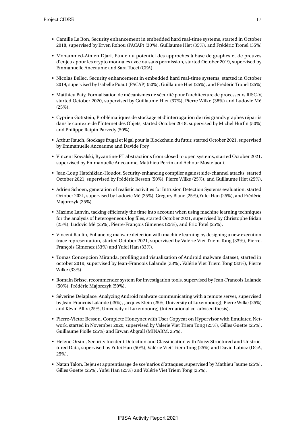- Camille Le Bon, Security enhancement in embedded hard real-time systems, started in October 2018, supervised by Erven Rohou (PACAP) (30%), Guillaume Hiet (35%), and Frédéric Tronel (35%)
- Mohammed-Aimen Djari, Etude du potentiel des approches à base de graphes et de preuves d'enjeux pour les crypto monnaies avec ou sans permission, started October 2019, supervised by Emmanuelle Anceaume and Sara Tucci (CEA).
- Nicolas Bellec, Security enhancement in embedded hard real-time systems, started in October 2019, supervised by Isabelle Puaut (PACAP) (50%), Guillaume Hiet (25%), and Frédéric Tronel (25%)
- Matthieu Baty, Formalisation de mécanismes de sécurité pour l'architecture de processeurs RISC-V, started October 2020, supervised by Guillaume Hiet (37%), Pierre Wilke (38%) and Ludovic Mé (25%).
- Cyprien Gottstein, Problématiques de stockage et d'interrogation de très grands graphes répartis dans le contexte de l'Internet des Objets, started October 2018, supervised by Michel Hurfin (50%) and Philippe Raipin Parvedy (50%).
- Arthur Rauch, Stockage frugal et légal pour la Blockchain du futur, started October 2021, supervised by Emmanuelle Anceaume and Davide Frey.
- Vincent Kowalski, Byzantine-FT abstractions from closed to open systems, started October 2021, supervised by Emmanuelle Anceaume, Matthieu Perrin and Achour Mostefaoui.
- Jean-Loup Hatchikian-Houdot, Security-enhancing compiler against side-channel attacks, started October 2021, supervised by Frédéric Besson (50%), Pierre Wilke (25%), and Guillaume Hiet (25%).
- Adrien Schoen, generation of realistic activities for Intrusion Detection Systems evaluation, started October 2021, supervised by Ludovic Mé (25%), Gregory Blanc (25%),Yufei Han (25%), and Frédéric Majorczyk (25%).
- Maxime Lanvin, tacking efficiently the time into account when using machine learning techniques for the analysis of heterogeneous log files, started October 2021, supervised by Christophe Bidan (25%), Ludovic Mé (25%), Pierre-François Gimenez (25%), and Eric Totel (25%).
- Vincent Raulin, Enhancing malware detection with machine learning by designing a new execution trace representation, started October 2021, supervised by Valérie Viet Triem Tong (33%), Pierre-François Gimenez (33%) and Yufei Han (33%).
- Tomas Concepcion Miranda, profiling and visualization of Android malware dataset, started in october 2019, supervised by Jean-Francois Lalande (33%), Valérie Viet Triem Tong (33%), Pierre Wilke (33%).
- Romain Brisse, recommender system for investigation tools, supervised by Jean-Francois Lalande (50%), Frédéric Majorczyk (50%).
- Séverine Delaplace, Analyzing Android malware communicating with a remote server, supervised by Jean-Francois Lalande (25%), Jacques Klein (25%, University of Luxembourg), Pierre Wilke (25%) and Kévin Allix (25%, University of Luxembourg) (International co-advised thesis).
- Pierre-Victor Besson, Complete Honeynet with User Copycat on Hypervisor with Emulated Network, started in November 2020, supervised by Valérie Viet Triem Tong (25%), Gilles Guette (25%), Guillaume Piolle (25%) and Erwan Abgrall (MINARM, 25%).
- Helene Orsini, Security Incident Detection and Classification with Noisy Structured and Unstructured Data, supervised by Yufei Han (50%), Valérie Viet Triem Tong (25%) and David Lubicz (DGA, 25%).
- Natan Talon, Rejeu et apprentissage de sce'narios d'attaques ,supervised by Mathieu Jaume (25%), Gilles Guette (25%), Yufei Han (25%) and Valérie Viet Triem Tong (25%).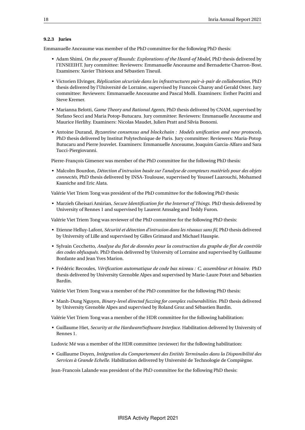#### **9.2.3 Juries**

Emmanuelle Anceaume was member of the PhD committee for the following PhD thesis:

- Adam Shimi, *On the power of Rounds: Explorations of the Heard-of Model*, PhD thesis delivered by l'ENSEEIHT. Jury committee: Reviewers: Emmanuelle Anceaume and Bernadette Charron-Bost. Examiners: Xavier Thirioux and Sébastien Tixeuil.
- Victorien Elvinger, *Réplication sécurisée dans les infrastructures pair-à-pair de collaboration*, PhD thesis delivered by l'Université de Lorraine, supervised by Francois Charoy and Gerald Oster. Jury committee: Reviewers: Emmanuelle Anceaume and Pascal Molli. Examiners: Esther Pacitti and Steve Kremer.
- Marianna Belotti, *Game Theory and Rational Agents*, PhD thesis delivered by CNAM, supervised by Stefano Secci and Maria Potop-Butucaru. Jury committee: Reviewers: Emmanuelle Anceaume and Maurice Herlihy. Examiners: Nicolas Maudet, Julien Pratt and Silvia Bonomi.
- Antoine Durand, *Byzantine consensus and blockchain : Models unification and new protocols*, PhD thesis delivered by Institut Polytechnique de Paris. Jury committee: Reviewers: Maria-Potop Butucaru and Pierre Jouvelet. Examiners: Emmanuelle Anceaume, Joaquim Garcia-Alfaro and Sara Tucci-Piergiovanni.

Pierre-François Gimenez was member of the PhD committee for the following PhD thesis:

• Malcolm Bourdon, *Détection d'intrusion basée sur l'analyse de compteurs matériels pour des objets connectés*, PhD thesis delivered by INSA-Toulouse, supervised by Youssef Laarouchi, Mohamed Kaaniche and Eric Alata.

Valérie Viet Triem Tong was president of the PhD committee for the following PhD thesis:

• Marzieh Gheisari Amirian, *Secure Identification for the Internet of Things*. PhD thesis delivered by University of Rennes 1 and supervised by Laurent Amsaleg and Teddy Furon.

Valérie Viet Triem Tong was reviewer of the PhD committee for the following PhD thesis:

- Etienne Helluy-Lafont, *Sécurité et détection d'intrusion dans les réseaux sans fil*, PhD thesis delivered by University of Lille and supervised by Gilles Grimaud and Michael Hauspie.
- Sylvain Cecchetto, *Analyse du flot de données pour la construction du graphe de flot de contrôle des codes obfusqués*. PhD thesis delivered by University of Lorraine and supervised by Guillaume Bonfante and Jean Yves Marion.
- Frédéric Recoules, *Vérification automatique de code bas niveau : C, assembleur et binaire*. PhD thesis delivered by University Grenoble Alpes and supervised by Marie-Laure Potet and Sébastien Bardin.

Valérie Viet Triem Tong was a member of the PhD committee for the following PhD thesis:

• Manh-Dung Nguyen, *Binary-level directed fuzzing for complex vulnerabilities*. PhD thesis delivered by University Grenoble Alpes and supervised by Roland Groz and Sébastien Bardin.

Valérie Viet Triem Tong was a member of the HDR committee for the following habilitation:

• Guillaume Hiet, *Security at the Hardware/Software Interface*. Habilitation delivered by University of Rennes 1.

Ludovic Mé was a member of the HDR committee (reviewer) for the following habilitation:

• Guillaume Doyen, *Intégration du Comportement des Entités Terminales dans la Disponibilité des Services à Grande Echelle*. Habilitation delivered by Université de Technologie de Compiègne.

Jean-Francois Lalande was president of the PhD committee for the following PhD thesis: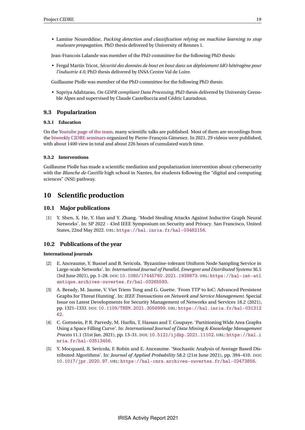• Lamine Noureddine, *Packing detection and classification relying on machine learning to stop malware propagation*. PhD thesis delivered by University of Rennes 1.

Jean-Francois Lalande was member of the PhD committee for the following PhD thesis:

• Fergal Martin Tricot, *Sécurité des données de bout en bout dans un déploiement IdO hétérogène pour l'industrie 4.0*, PhD thesis delivered by INSA Centre Val de Loire.

Guillaume Piolle was member of the PhD committee for the following PhD thesis:

• Supriya Adahtarao, *On GDPR compliant Data Processing*, PhD thesis delivered by University Grenoble Alpes and supervised by Claude Castelluccia and Cédric Lauradoux.

# **9.3 Popularization**

#### **9.3.1 Education**

On the Youtube page of the team, many scientific talks are published. Most of them are recordings from the biweekly CIDRE seminars organized by Pierre-François Gimenez. In 2021, 29 videos were published, with about 1400 view in total and about 226 hours of cumulated watch time.

#### **9.3.2 Interventions**

Guillaume Piolle has made a scientific mediation and popularization intervention about cybersecurity with the *Blanche de Castille* high school in Nantes, for students following the "digital and computing sciences" (NSI) pathway.

# **10 Scientific production**

# **10.1 Major publications**

[1] Y. Shen, X. He, Y. Han and Y. Zhang. 'Model Stealing Attacks Against Inductive Graph Neural Networks'. In: SP 2022 - 43rd IEEE Symposium on Security and Privacy. San Francisco, United States, 22nd May 2022. URL: https://hal.inria.fr/hal-03482156.

# **10.2 Publications of the year**

## **International journals**

- [2] E. Anceaume, Y. Busnel and B. Sericola. 'Byzantine-tolerant Uniform Node Sampling Service in Large-scale Networks'. In: *International Journal of Parallel, Emergent and Distributed Systems* 36.5 (3rd June 2021), pp. 1–28. DOI: 10.1080/17445760.2021.1939873. URL: https://hal-imt-atl antique.archives-ouvertes.fr/hal-03265593.
- [3] A. Berady, M. Jaume, V. Viet Triem Tong and G. Guette. 'From TTP to IoC: Advanced Persistent Graphs for Threat Hunting'. In: *IEEE Transactions on Network and Service Management*. Special Issue on Latest Developments for Security Management of Networks and Services 18.2 (2021), pp. 1321–1333. DOI: 10.1109/TNSM.2021.3056999. URL: https://hal.inria.fr/hal-031312 62.
- [4] C. Gottstein, P. R. Parvedy, M. Hurfin, T. Hassan and T. Coupaye. 'Partitioning Wide Area Graphs Using a Space Filling Curve'. In: *International Journal of Data Mining & Knowledge Management Process* 11.1 (31st Jan. 2021), pp. 13–31. DOI: 10.5121/ijdkp.2021.11102. URL: https://hal.i nria.fr/hal-03513456.
- [5] Y. Mocquard, B. Sericola, F. Robin and E. Anceaume. 'Stochastic Analysis of Average Based Distributed Algorithms'. In: *Journal of Applied Probability* 58.2 (21st June 2021), pp. 394–410. DOI: 10.1017/jpr.2020.97. URL: https://hal-cnrs.archives-ouvertes.fr/hal-02473856.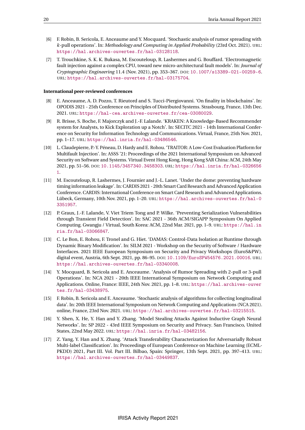- [6] F. Robin, B. Sericola, E. Anceaume and Y. Mocquard. 'Stochastic analysis of rumor spreading with *k*-pull operations'. In: *Methodology and Computing in Applied Probability* (23rd Oct. 2021). URL: https://hal.archives-ouvertes.fr/hal-03128118.
- [7] T. Trouchkine, S. K. K. Bukasa, M. Escouteloup, R. Lashermes and G. Bouffard. 'Electromagnetic fault injection against a complex CPU, toward new micro-architectural fault models'. In: *Journal of Cryptographic Engineering* 11.4 (Nov. 2021), pp. 353–367. DOI: 10.1007/s13389-021-00259-6. URL: https://hal.archives-ouvertes.fr/hal-03175704.

#### **International peer-reviewed conferences**

- [8] E. Anceaume, A. D. Pozzo, T. Rieutord and S. Tucci-Piergiovanni. 'On finality in blockchains'. In: OPODIS 2021 - 25th Conference on Principles of Distributed Systems. Strasbourg, France, 13th Dec. 2021. URL: https://hal-cea.archives-ouvertes.fr/cea-03080029.
- [9] R. Brisse, S. Boche, F. Majorczyk and J.-F. Lalande. 'KRAKEN: A Knowledge-Based Recommender system for Analysts, to Kick Exploration up a Notch'. In: SECITC 2021 - 14th International Conference on Security for Information Technology and Communications. Virtual, France, 25th Nov. 2021, pp. 1–17. URL: https://hal.inria.fr/hal-03486546.
- [10] L. Claudepierre, P.-Y. Péneau, D. Hardy and E. Rohou. 'TRAITOR: A Low-Cost Evaluation Platform for Multifault Injection'. In: ASSS '21: Proceedings of the 2021 International Symposium on Advanced Security on Software and Systems. Virtual Event Hong Kong, Hong Kong SAR China: ACM, 24th May 2021, pp. 51–56. DOI: 10.1145/3457340.3458303. URL: https://hal.inria.fr/hal-0326656 1.
- [11] M. Escouteloup, R. Lashermes, J. Fournier and J.-L. Lanet. 'Under the dome: preventing hardware timing information leakage'. In: CARDIS 2021 - 20th Smart Card Research and Advanced Application Conference. CARDIS: International Conference on Smart Card Research and Advanced Applications. Lübeck, Germany, 10th Nov. 2021, pp. 1–20. URL: https://hal.archives-ouvertes.fr/hal-0 3351957.
- [12] P. Graux, J.-F. Lalande, V. Viet Triem Tong and P. Wilke. 'Preventing Serialization Vulnerabilities through Transient Field Detection'. In: SAC 2021 - 36th ACM/SIGAPP Symposium On Applied Computing. Gwangju / Virtual, South Korea: ACM, 22nd Mar. 2021, pp. 1–9. URL: https://hal.in ria.fr/hal-03066847.
- [13] C. Le Bon, E. Rohou, F. Tronel and G. Hiet. 'DAMAS: Control-Data Isolation at Runtime through Dynamic Binary Modification'. In: SILM 2021 - Workshop on the Security of Software / Hardware Interfaces. 2021 IEEE European Symposium on Security and Privacy Workshops (EuroS&PW). digital event, Austria, 6th Sept. 2021, pp. 86–95. DOI: 10.1109/EuroSPW54576.2021.00016. URL: https://hal.archives-ouvertes.fr/hal-03340008.
- [14] Y. Mocquard, B. Sericola and E. Anceaume. 'Analysis of Rumor Spreading with 2-pull or 3-pull Operations'. In: NCA 2021 - 20th IEEE International Symposium on Network Computing and Applications. Online, France: IEEE, 24th Nov. 2021, pp. 1–8. URL: https://hal.archives-ouver tes.fr/hal-03438975.
- [15] F. Robin, B. Sericola and E. Anceaume. 'Stochastic analysis of algorithms for collecting longitudinal data'. In: 20th IEEE International Symposium on Network Computing and Applications (NCA 2021). online, France, 23rd Nov. 2021. URL: https://hal.archives-ouvertes.fr/hal-03215515.
- [16] Y. Shen, X. He, Y. Han and Y. Zhang. 'Model Stealing Attacks Against Inductive Graph Neural Networks'. In: SP 2022 - 43rd IEEE Symposium on Security and Privacy. San Francisco, United States, 22nd May 2022. URL: https://hal.inria.fr/hal-03482156.
- [17] Z. Yang, Y. Han and X. Zhang. 'Attack Transferability Characterization for Adversarially Robust Multi-label Classification'. In: Proceedings of European Conference on Machine Learning (ECML-PKDD) 2021, Part III. Vol. Part III. Bilbao, Spain: Springer, 13th Sept. 2021, pp. 397–413. URL: https://hal.archives-ouvertes.fr/hal-03449837.